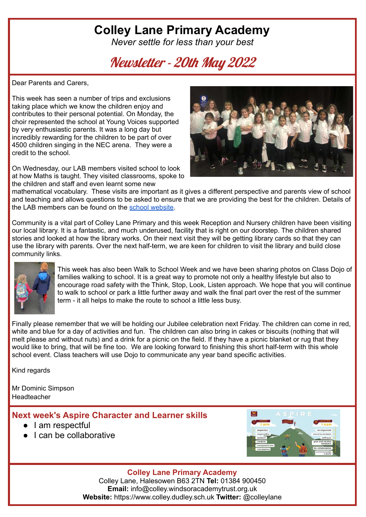# **Colley Lane Primary Academy**

*Never settle for less than your best*

# Newsletter - 20th May 2022

Dear Parents and Carers,

This week has seen a number of trips and exclusions taking place which we know the children enjoy and contributes to their personal potential. On Monday, the choir represented the school at Young Voices supported by very enthusiastic parents. It was a long day but incredibly rewarding for the children to be part of over 4500 children singing in the NEC arena. They were a credit to the school.

On Wednesday, our LAB members visited school to look at how Maths is taught. They visited classrooms, spoke to the children and staff and even learnt some new



mathematical vocabulary. These visits are important as it gives a different perspective and parents view of school and teaching and allows questions to be asked to ensure that we are providing the best for the children. Details of the LAB members can be found on the school [website.](https://www.colleylaneprimary.org.uk/our-school/governance-and-policies/local-advisory-board/)

Community is a vital part of Colley Lane Primary and this week Reception and Nursery children have been visiting our local library. It is a fantastic, and much underused, facility that is right on our doorstep. The children shared stories and looked at how the library works. On their next visit they will be getting library cards so that they can use the library with parents. Over the next half-term, we are keen for children to visit the library and build close community links.



This week has also been Walk to School Week and we have been sharing photos on Class Dojo of families walking to school. It is a great way to promote not only a healthy lifestyle but also to encourage road safety with the Think, Stop, Look, Listen approach. We hope that you will continue to walk to school or park a little further away and walk the final part over the rest of the summer term - it all helps to make the route to school a little less busy.

Finally please remember that we will be holding our Jubilee celebration next Friday. The children can come in red, white and blue for a day of activities and fun. The children can also bring in cakes or biscuits (nothing that will melt please and without nuts) and a drink for a picnic on the field. If they have a picnic blanket or rug that they would like to bring, that will be fine too. We are looking forward to finishing this short half-term with this whole school event. Class teachers will use Dojo to communicate any year band specific activities.

Kind regards

Mr Dominic Simpson Headteacher

### **Next week's Aspire Character and Learner skills**

- I am respectful
- I can be collaborative



**Colley Lane Primary Academy** Colley Lane, Halesowen B63 2TN **Tel:** 01384 900450

**Email:** info@colley.windsoracademytrust.org.uk **Website:** https://www.colley.dudley.sch.uk **Twitter:** @colleylane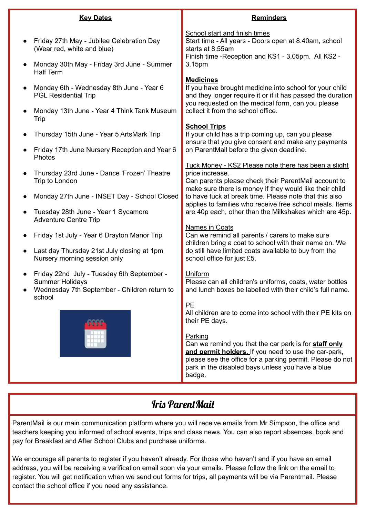|           | <b>Key Dates</b>                                                                                                               | <b>Reminders</b>                                                                                                                                                                                                                                    |  |  |
|-----------|--------------------------------------------------------------------------------------------------------------------------------|-----------------------------------------------------------------------------------------------------------------------------------------------------------------------------------------------------------------------------------------------------|--|--|
|           | Friday 27th May - Jubilee Celebration Day<br>(Wear red, white and blue)<br>Monday 30th May - Friday 3rd June - Summer          | <b>School start and finish times</b><br>Start time - All years - Doors open at 8.40am, school<br>starts at 8.55am<br>Finish time - Reception and KS1 - 3.05pm. All KS2 -<br>3.15pm                                                                  |  |  |
|           | <b>Half Term</b>                                                                                                               | <b>Medicines</b>                                                                                                                                                                                                                                    |  |  |
|           | Monday 6th - Wednesday 8th June - Year 6<br><b>PGL Residential Trip</b>                                                        | If you have brought medicine into school for your child<br>and they longer require it or if it has passed the duration<br>you requested on the medical form, can you please                                                                         |  |  |
|           | Monday 13th June - Year 4 Think Tank Museum<br>Trip                                                                            | collect it from the school office.                                                                                                                                                                                                                  |  |  |
|           | Thursday 15th June - Year 5 ArtsMark Trip                                                                                      | <b>School Trips</b><br>If your child has a trip coming up, can you please<br>ensure that you give consent and make any payments                                                                                                                     |  |  |
|           | Friday 17th June Nursery Reception and Year 6<br>Photos                                                                        | on ParentMail before the given deadline.                                                                                                                                                                                                            |  |  |
|           | Thursday 23rd June - Dance 'Frozen' Theatre<br>Trip to London                                                                  | Tuck Money - KS2 Please note there has been a slight<br>price increase.<br>Can parents please check their ParentMail account to<br>make sure there is money if they would like their child                                                          |  |  |
|           | Monday 27th June - INSET Day - School Closed                                                                                   | to have tuck at break time. Please note that this also<br>applies to families who receive free school meals. Items                                                                                                                                  |  |  |
|           | Tuesday 28th June - Year 1 Sycamore<br><b>Adventure Centre Trip</b>                                                            | are 40p each, other than the Milkshakes which are 45p.                                                                                                                                                                                              |  |  |
|           | Friday 1st July - Year 6 Drayton Manor Trip                                                                                    | <b>Names in Coats</b><br>Can we remind all parents / carers to make sure<br>children bring a coat to school with their name on. We                                                                                                                  |  |  |
| $\bullet$ | Last day Thursday 21st July closing at 1pm<br>Nursery morning session only                                                     | do still have limited coats available to buy from the<br>school office for just £5.                                                                                                                                                                 |  |  |
|           | Friday 22nd July - Tuesday 6th September -<br><b>Summer Holidays</b><br>Wednesday 7th September - Children return to<br>school | <b>Uniform</b><br>Please can all children's uniforms, coats, water bottles<br>and lunch boxes be labelled with their child's full name.                                                                                                             |  |  |
|           |                                                                                                                                | PE<br>All children are to come into school with their PE kits on<br>their PE days.                                                                                                                                                                  |  |  |
|           |                                                                                                                                | Parking<br>Can we remind you that the car park is for staff only<br>and permit holders. If you need to use the car-park,<br>please see the office for a parking permit. Please do not<br>park in the disabled bays unless you have a blue<br>badge. |  |  |

## Iris ParentMail

ParentMail is our main communication platform where you will receive emails from Mr Simpson, the office and teachers keeping you informed of school events, trips and class news. You can also report absences, book and pay for Breakfast and After School Clubs and purchase uniforms.

We encourage all parents to register if you haven't already. For those who haven't and if you have an email address, you will be receiving a verification email soon via your emails. Please follow the link on the email to register. You will get notification when we send out forms for trips, all payments will be via Parentmail. Please contact the school office if you need any assistance.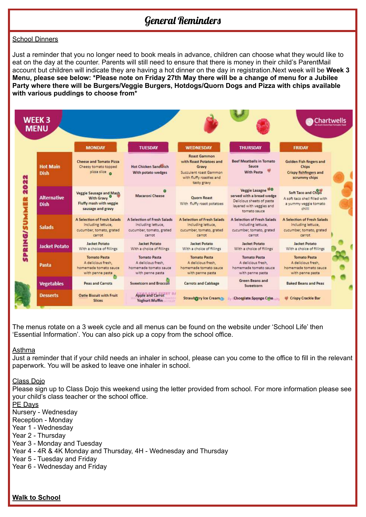## General Reminders

#### School Dinners

Just a reminder that you no longer need to book meals in advance, children can choose what they would like to eat on the day at the counter. Parents will still need to ensure that there is money in their child's ParentMail account but children will indicate they are having a hot dinner on the day in registration.Next week will be **Week 3** Menu, please see below: \*Please note on Friday 27th May there will be a change of menu for a Jubilee **Party where there will be Burgers/Veggie Burgers, Hotdogs/Quorn Dogs and Pizza with chips available with various puddings to choose from\***



The menus rotate on a 3 week cycle and all menus can be found on the website under 'School Life' then 'Essential Information'. You can also pick up a copy from the school office.

#### Asthma

Just a reminder that if your child needs an inhaler in school, please can you come to the office to fill in the relevant paperwork. You will be asked to leave one inhaler in school.

#### Class Dojo

Please sign up to Class Dojo this weekend using the letter provided from school. For more information please see your child's class teacher or the school office.

#### PE Days

Nursery - Wednesday

Reception - Monday

- Year 1 Wednesday
- Year 2 Thursday
- Year 3 Monday and Tuesday
- Year 4 4R & 4K Monday and Thursday, 4H Wednesday and Thursday

Year 5 - Tuesday and Friday

Year 6 - Wednesday and Friday

**Walk to School**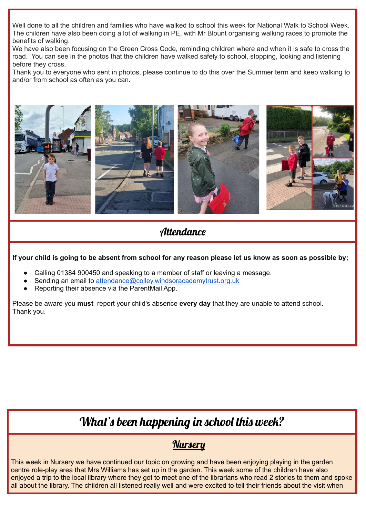Well done to all the children and families who have walked to school this week for National Walk to School Week. The children have also been doing a lot of walking in PE, with Mr Blount organising walking races to promote the benefits of walking.

We have also been focusing on the Green Cross Code, reminding children where and when it is safe to cross the road. You can see in the photos that the children have walked safely to school, stopping, looking and listening before they cross.

Thank you to everyone who sent in photos, please continue to do this over the Summer term and keep walking to and/or from school as often as you can.



### **Attendance**

If your child is going to be absent from school for any reason please let us know as soon as possible by;

- Calling 01384 900450 and speaking to a member of staff or leaving a message.
- Sending an email to [attendance@colley.windsoracademytrust.org.uk](mailto:attendance@colley.windsoracademytrust.org.uk)
- Reporting their absence via the ParentMail App.

Please be aware you **must** report your child's absence **every day** that they are unable to attend school. Thank you.

# What's been happening in school this week?

## **Nursery**

This week in Nursery we have continued our topic on growing and have been enjoying playing in the garden centre role-play area that Mrs Williams has set up in the garden. This week some of the children have also enjoyed a trip to the local library where they got to meet one of the librarians who read 2 stories to them and spoke all about the library. The children all listened really well and were excited to tell their friends about the visit when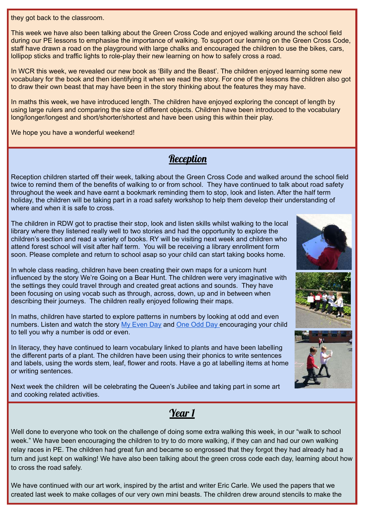they got back to the classroom.

This week we have also been talking about the Green Cross Code and enjoyed walking around the school field during our PE lessons to emphasise the importance of walking. To support our learning on the Green Cross Code, staff have drawn a road on the playground with large chalks and encouraged the children to use the bikes, cars, lollipop sticks and traffic lights to role-play their new learning on how to safely cross a road.

In WCR this week, we revealed our new book as 'Billy and the Beast'. The children enjoyed learning some new vocabulary for the book and then identifying it when we read the story. For one of the lessons the children also got to draw their own beast that may have been in the story thinking about the features they may have.

In maths this week, we have introduced length. The children have enjoyed exploring the concept of length by using large rulers and comparing the size of different objects. Children have been introduced to the vocabulary long/longer/longest and short/shorter/shortest and have been using this within their play.

We hope you have a wonderful weekend!

## **Reception**

Reception children started off their week, talking about the Green Cross Code and walked around the school field twice to remind them of the benefits of walking to or from school. They have continued to talk about road safety throughout the week and have earnt a bookmark reminding them to stop, look and listen. After the half term holiday, the children will be taking part in a road safety workshop to help them develop their understanding of where and when it is safe to cross.

The children in RDW got to practise their stop, look and listen skills whilst walking to the local library where they listened really well to two stories and had the opportunity to explore the children's section and read a variety of books. RY will be visiting next week and children who attend forest school will visit after half term. You will be receiving a library enrollment form soon. Please complete and return to school asap so your child can start taking books home.

In whole class reading, children have been creating their own maps for a unicorn hunt influenced by the story We're Going on a Bear Hunt. The children were very imaginative with the settings they could travel through and created great actions and sounds. They have been focusing on using vocab such as through, across, down, up and in between when describing their journeys. The children really enjoyed following their maps.

In maths, children have started to explore patterns in numbers by looking at odd and even numbers. Listen and watch the story My [Even](https://www.youtube.com/watch?v=Bk4HftjD8PQ) Day and [One](https://www.youtube.com/watch?v=e5AKZ_R46lE) Odd Day encouraging your child to tell you why a number is odd or even.

In literacy, they have continued to learn vocabulary linked to plants and have been labelling the different parts of a plant. The children have been using their phonics to write sentences and labels, using the words stem, leaf, flower and roots. Have a go at labelling items at home or writing sentences.

Next week the children will be celebrating the Queen's Jubilee and taking part in some art and cooking related activities.



## Year 1

Well done to everyone who took on the challenge of doing some extra walking this week, in our "walk to school week." We have been encouraging the children to try to do more walking, if they can and had our own walking relay races in PE. The children had great fun and became so engrossed that they forgot they had already had a turn and just kept on walking! We have also been talking about the green cross code each day, learning about how to cross the road safely.

We have continued with our art work, inspired by the artist and writer Eric Carle. We used the papers that we created last week to make collages of our very own mini beasts. The children drew around stencils to make the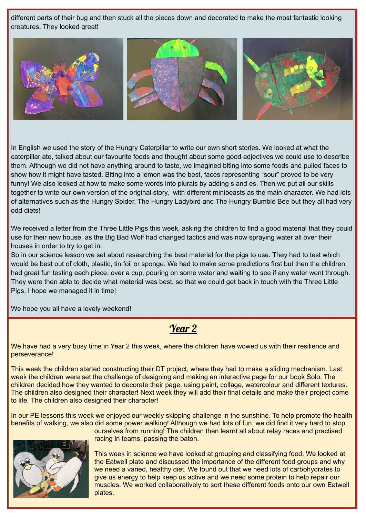different parts of their bug and then stuck all the pieces down and decorated to make the most fantastic looking creatures. They looked great!



In English we used the story of the Hungry Caterpillar to write our own short stories. We looked at what the caterpillar ate, talked about our favourite foods and thought about some good adjectives we could use to describe them. Although we did not have anything around to taste, we imagined biting into some foods and pulled faces to show how it might have tasted. Biting into a lemon was the best, faces representing "sour" proved to be very funny! We also looked at how to make some words into plurals by adding s and es. Then we put all our skills together to write our own version of the original story, with different minibeasts as the main character. We had lots of alternatives such as the Hungry Spider, The Hungry Ladybird and The Hungry Bumble Bee but they all had very odd diets!

We received a letter from the Three Little Pigs this week, asking the children to find a good material that they could use for their new house, as the Big Bad Wolf had changed tactics and was now spraying water all over their houses in order to try to get in.

So in our science lesson we set about researching the best material for the pigs to use. They had to test which would be best out of cloth, plastic, tin foil or sponge. We had to make some predictions first but then the children had great fun testing each piece, over a cup, pouring on some water and waiting to see if any water went through. They were then able to decide what material was best, so that we could get back in touch with the Three Little Pigs. I hope we managed it in time!

We hope you all have a lovely weekend!

## Year 2

We have had a very busy time in Year 2 this week, where the children have wowed us with their resilience and perseverance!

This week the children started constructing their DT project, where they had to make a sliding mechanism. Last week the children were set the challenge of designing and making an interactive page for our book Solo. The children decided how they wanted to decorate their page, using paint, collage, watercolour and different textures. The children also designed their character! Next week they will add their final details and make their project come to life. The children also designed their character!

In our PE lessons this week we enjoyed our weekly skipping challenge in the sunshine. To help promote the health benefits of walking, we also did some power walking! Although we had lots of fun, we did find it very hard to stop



ourselves from running! The children then learnt all about relay races and practised racing in teams, passing the baton.

This week in science we have looked at grouping and classifying food. We looked at the Eatwell plate and discussed the importance of the different food groups and why we need a varied, healthy diet. We found out that we need lots of carbohydrates to give us energy to help keep us active and we need some protein to help repair our muscles. We worked collaboratively to sort these different foods onto our own Eatwell plates.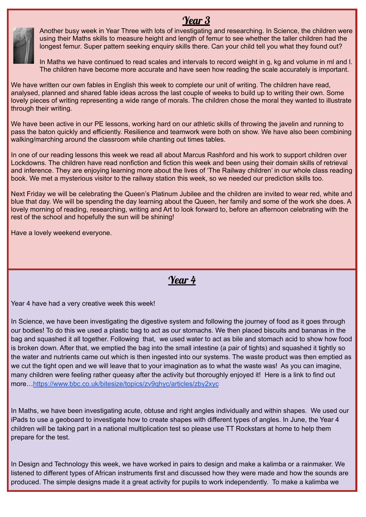

Year 3 Another busy week in Year Three with lots of investigating and researching. In Science, the children were using their Maths skills to measure height and length of femur to see whether the taller children had the longest femur. Super pattern seeking enquiry skills there. Can your child tell you what they found out?

In Maths we have continued to read scales and intervals to record weight in g, kg and volume in ml and l. The children have become more accurate and have seen how reading the scale accurately is important.

We have written our own fables in English this week to complete our unit of writing. The children have read, analysed, planned and shared fable ideas across the last couple of weeks to build up to writing their own. Some lovely pieces of writing representing a wide range of morals. The children chose the moral they wanted to illustrate through their writing.

We have been active in our PE lessons, working hard on our athletic skills of throwing the javelin and running to pass the baton quickly and efficiently. Resilience and teamwork were both on show. We have also been combining walking/marching around the classroom while chanting out times tables.

In one of our reading lessons this week we read all about Marcus Rashford and his work to support children over Lockdowns. The children have read nonfiction and fiction this week and been using their domain skills of retrieval and inference. They are enjoying learning more about the lives of 'The Railway children' in our whole class reading book. We met a mysterious visitor to the railway station this week, so we needed our prediction skills too.

Next Friday we will be celebrating the Queen's Platinum Jubilee and the children are invited to wear red, white and blue that day. We will be spending the day learning about the Queen, her family and some of the work she does. A lovely morning of reading, researching, writing and Art to look forward to, before an afternoon celebrating with the rest of the school and hopefully the sun will be shining!

Have a lovely weekend everyone.

Year 4

Year 4 have had a very creative week this week!

In Science, we have been investigating the digestive system and following the journey of food as it goes through our bodies! To do this we used a plastic bag to act as our stomachs. We then placed biscuits and bananas in the bag and squashed it all together. Following that, we used water to act as bile and stomach acid to show how food is broken down. After that, we emptied the bag into the small intestine (a pair of tights) and squashed it tightly so the water and nutrients came out which is then ingested into our systems. The waste product was then emptied as we cut the tight open and we will leave that to your imagination as to what the waste was! As you can imagine, many children were feeling rather queasy after the activity but thoroughly enjoyed it! Here is a link to find out more…<https://www.bbc.co.uk/bitesize/topics/zv9qhyc/articles/zby2xyc>

In Maths, we have been investigating acute, obtuse and right angles individually and within shapes. We used our iPads to use a geoboard to investigate how to create shapes with different types of angles. In June, the Year 4 children will be taking part in a national multiplication test so please use TT Rockstars at home to help them prepare for the test.

In Design and Technology this week, we have worked in pairs to design and make a kalimba or a rainmaker. We listened to different types of African instruments first and discussed how they were made and how the sounds are produced. The simple designs made it a great activity for pupils to work independently. To make a kalimba we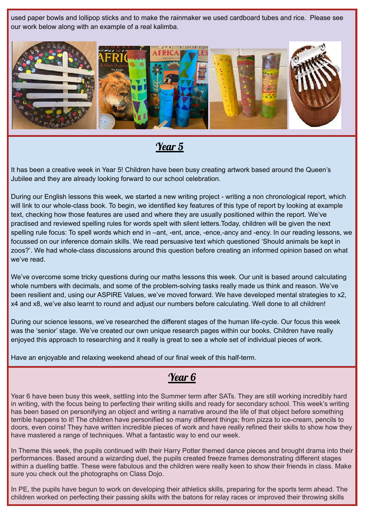used paper bowls and lollipop sticks and to make the rainmaker we used cardboard tubes and rice. Please see our work below along with an example of a real kalimba.



Year 5

It has been a creative week in Year 5! Children have been busy creating artwork based around the Queen's Jubilee and they are already looking forward to our school celebration.

During our English lessons this week, we started a new writing project - writing a non chronological report, which will link to our whole-class book. To begin, we identified key features of this type of report by looking at example text, checking how those features are used and where they are usually positioned within the report. We've practised and reviewed spelling rules for words spelt with silent letters.Today, children will be given the next spelling rule focus: To spell words which end in –ant, -ent, ance, -ence,-ancy and -ency. In our reading lessons, we focussed on our inference domain skills. We read persuasive text which questioned 'Should animals be kept in zoos?'. We had whole-class discussions around this question before creating an informed opinion based on what we've read.

We've overcome some tricky questions during our maths lessons this week. Our unit is based around calculating whole numbers with decimals, and some of the problem-solving tasks really made us think and reason. We've been resilient and, using our ASPIRE Values, we've moved forward. We have developed mental strategies to x2, x4 and x8, we've also learnt to round and adjust our numbers before calculating. Well done to all children!

During our science lessons, we've researched the different stages of the human life-cycle. Our focus this week was the 'senior' stage. We've created our own unique research pages within our books. Children have really enjoyed this approach to researching and it really is great to see a whole set of individual pieces of work.

Have an enjoyable and relaxing weekend ahead of our final week of this half-term.

## Year 6

Year 6 have been busy this week, settling into the Summer term after SATs. They are still working incredibly hard in writing, with the focus being to perfecting their writing skills and ready for secondary school. This week's writing has been based on personifying an object and writing a narrative around the life of that object before something terrible happens to it! The children have personified so many different things; from pizza to ice-cream, pencils to doors, even coins! They have written incredible pieces of work and have really refined their skills to show how they have mastered a range of techniques. What a fantastic way to end our week.

In Theme this week, the pupils continued with their Harry Potter themed dance pieces and brought drama into their performances. Based around a wizarding duel, the pupils created freeze frames demonstrating different stages within a duelling battle. These were fabulous and the children were really keen to show their friends in class. Make sure you check out the photographs on Class Dojo.

In PE, the pupils have begun to work on developing their athletics skills, preparing for the sports term ahead. The children worked on perfecting their passing skills with the batons for relay races or improved their throwing skills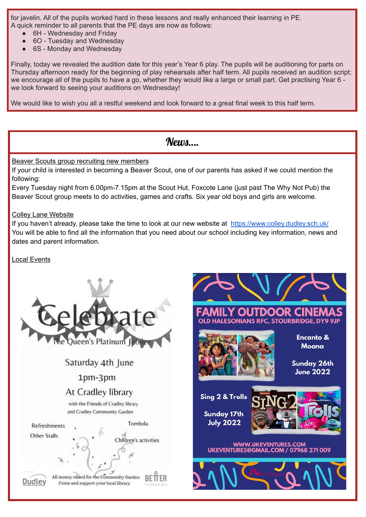for javelin. All of the pupils worked hard in these lessons and really enhanced their learning in PE. A quick reminder to all parents that the PE days are now as follows:

- 6H Wednesday and Friday
- 6O Tuesday and Wednesday
- 6S Monday and Wednesday

Finally, today we revealed the audition date for this year's Year 6 play. The pupils will be auditioning for parts on Thursday afternoon ready for the beginning of play rehearsals after half term. All pupils received an audition script; we encourage all of the pupils to have a go, whether they would like a large or small part. Get practising Year 6 we look forward to seeing your auditions on Wednesday!

We would like to wish you all a restful weekend and look forward to a great final week to this half term.

### **News**....

Beaver Scouts group recruiting new members

If your child is interested in becoming a Beaver Scout, one of our parents has asked if we could mention the following:

Every Tuesday night from 6.00pm-7.15pm at the Scout Hut, Foxcote Lane (just past The Why Not Pub) the Beaver Scout group meets to do activities, games and crafts. Six year old boys and girls are welcome.

Colley Lane Website

If you haven't already, please take the time to look at our new website at <https://www.colley.dudley.sch.uk/> You will be able to find all the information that you need about our school including key information, news and dates and parent information.

Local Events



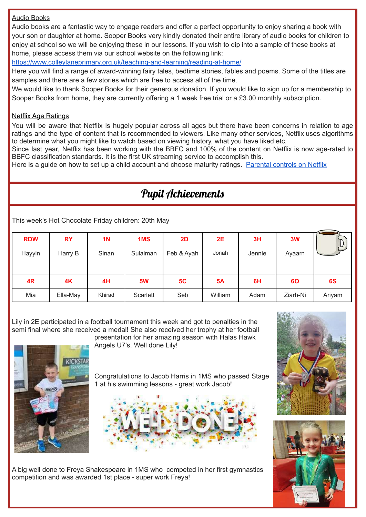#### Audio Books

Audio books are a fantastic way to engage readers and offer a perfect opportunity to enjoy sharing a book with your son or daughter at home. Sooper Books very kindly donated their entire library of audio books for children to enjoy at school so we will be enjoying these in our lessons. If you wish to dip into a sample of these books at home, please access them via our school website on the following link:

<https://www.colleylaneprimary.org.uk/teaching-and-learning/reading-at-home/>

Here you will find a range of award-winning fairy tales, bedtime stories, fables and poems. Some of the titles are samples and there are a few stories which are free to access all of the time.

We would like to thank Sooper Books for their generous donation. If you would like to sign up for a membership to Sooper Books from home, they are currently offering a 1 week free trial or a £3.00 monthly subscription.

#### Netflix Age Ratings

You will be aware that Netflix is hugely popular across all ages but there have been concerns in relation to age ratings and the type of content that is recommended to viewers. Like many other services, Netflix uses algorithms to determine what you might like to watch based on viewing history, what you have liked etc.

Since last year, Netflix has been working with the BBFC and 100% of the content on Netflix is now age-rated to BBFC classification standards. It is the first UK streaming service to accomplish this.

Here is a guide on how to set up a child account and choose maturity ratings. [Parental](https://help.netflix.com/en/node/264) controls on Netflix

# Pupil Achievements

This week's Hot Chocolate Friday children: 20th May

| <b>RDW</b> | <b>RY</b> | <b>1N</b> | 1MS       | 2D         | 2E        | 3H     | 3W       | ሥ      |
|------------|-----------|-----------|-----------|------------|-----------|--------|----------|--------|
| Hayyin     | Harry B   | Sinan     | Sulaiman  | Feb & Ayah | Jonah     | Jennie | Ayaarn   |        |
|            |           |           |           |            |           |        |          |        |
| 4R         | 4K        | 4H        | <b>5W</b> | 5C         | <b>5A</b> | 6H     | 60       | 6S     |
| Mia        | Ella-May  | Khirad    | Scarlett  | Seb        | William   | Adam   | Ziarh-Ni | Ariyam |

Lily in 2E participated in a football tournament this week and got to penalties in the semi final where she received a medal! She also received her trophy at her football presentation for her amazing season with Halas Hawk



Angels U7's. Well done Lily!

Congratulations to Jacob Harris in 1MS who passed Stage 1 at his swimming lessons - great work Jacob!



A big well done to Freya Shakespeare in 1MS who competed in her first gymnastics competition and was awarded 1st place - super work Freya!



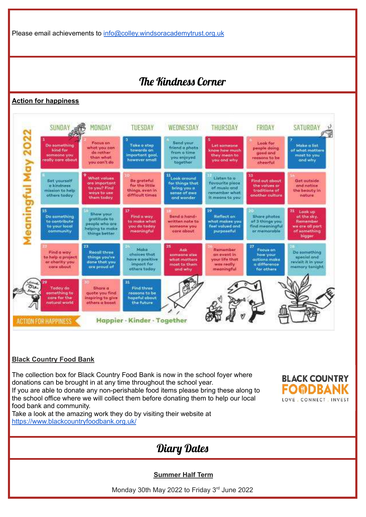Please email achievements to [info@colley.windsoracademytrust.org.uk](mailto:info@colley.windsoracademytrust.org.uk)

## The Kindness Corner

#### **Action for happiness**



#### **Black Country Food Bank**

The collection box for Black Country Food Bank is now in the school foyer where donations can be brought in at any time throughout the school year. If you are able to donate any non-perishable food items please bring these along to the school office where we will collect them before donating them to help our local food bank and community.

Take a look at the amazing work they do by visiting their website at <https://www.blackcountryfoodbank.org.uk/>



## Diary Dates

**Summer Half Term**

Monday 30th May 2022 to Friday 3<sup>rd</sup> June 2022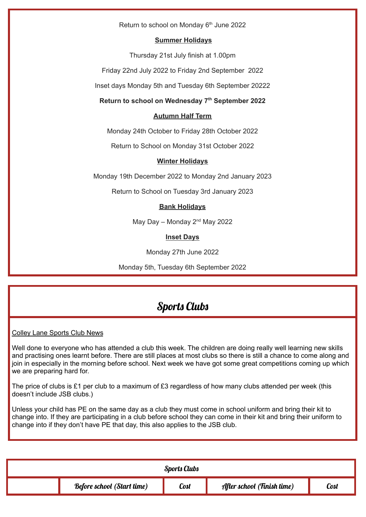Return to school on Monday 6<sup>th</sup> June 2022

#### **Summer Holidays**

Thursday 21st July finish at 1.00pm

Friday 22nd July 2022 to Friday 2nd September 2022

Inset days Monday 5th and Tuesday 6th September 20222

#### **Return to school on Wednesday 7 th September 2022**

#### **Autumn Half Term**

Monday 24th October to Friday 28th October 2022

Return to School on Monday 31st October 2022

#### **Winter Holidays**

Monday 19th December 2022 to Monday 2nd January 2023

Return to School on Tuesday 3rd January 2023

#### **Bank Holidays**

May Day – Monday  $2<sup>nd</sup>$  May 2022

#### **Inset Days**

Monday 27th June 2022

Monday 5th, Tuesday 6th September 2022

## Sports Clubs

#### Colley Lane Sports Club News

Well done to everyone who has attended a club this week. The children are doing really well learning new skills and practising ones learnt before. There are still places at most clubs so there is still a chance to come along and join in especially in the morning before school. Next week we have got some great competitions coming up which we are preparing hard for.

The price of clubs is £1 per club to a maximum of £3 regardless of how many clubs attended per week (this doesn't include JSB clubs.)

Unless your child has PE on the same day as a club they must come in school uniform and bring their kit to change into. If they are participating in a club before school they can come in their kit and bring their uniform to change into if they don't have PE that day, this also applies to the JSB club.

| <b>Sports Clubs</b> |                                   |      |                            |             |  |  |  |  |
|---------------------|-----------------------------------|------|----------------------------|-------------|--|--|--|--|
|                     | <b>Before school (Start time)</b> | Cost | After school (Finish time) | <b>Cost</b> |  |  |  |  |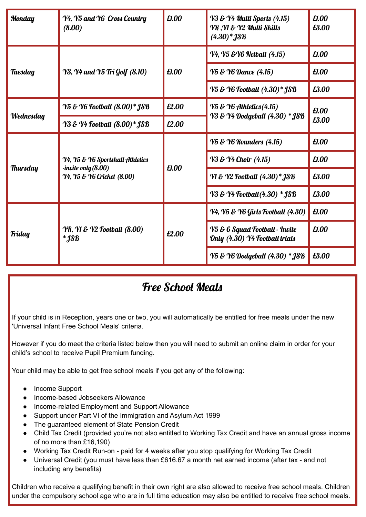| <b>Monday</b>   | £1.00<br>Y4, Y5 and Y6 Cross Country<br>(8.00)                                        |       | Y3 & Y4 Multi Sports (4.15)<br>YR, YI & Y2 Multi Skills<br>$(4.30)*$ <b>JSB</b> | £1.00<br>£3.00 |
|-----------------|---------------------------------------------------------------------------------------|-------|---------------------------------------------------------------------------------|----------------|
|                 |                                                                                       | £1.00 | <b>Y4, Y5 &amp; Y6 Netball (4.15)</b>                                           | £1.00          |
| Tuesday         | <b>Y3, Y4 and Y5 Tri Golf (8.10)</b>                                                  |       | <b>Y5 &amp; Y6 Dance (4.15)</b>                                                 | £1.00          |
|                 |                                                                                       |       | <b>Y5 &amp; Y6 Football (4.30)* JSB</b>                                         | £3.00          |
|                 | Y5 & Y6 Football (8.00)* JSB                                                          | £2.00 | $\gamma$ 5 & $\gamma$ 6 Athletics (4.15)                                        | £1.00<br>£3.00 |
| Wednesday       | Y3 & Y4 Football (8.00)* JSB                                                          | £2.00 | Y3 & Y4 Dodgeball (4.30) * JSB                                                  |                |
|                 | Y4, Y5 & Y6 Sportshall Athletics<br>-invite only (8.00)<br>Y4, Y5 & Y6 Cricket (8.00) | £1.00 | <b>Y5 &amp; Y6 Rounders (4.15)</b>                                              | £1.00          |
|                 |                                                                                       |       | <b>Y3 &amp; Y4 Choir (4.15)</b>                                                 | £1.00          |
| <b>Thursday</b> |                                                                                       |       | Y1 & Y2 Football (4.30)* JSB                                                    | £3.00          |
|                 |                                                                                       |       | <b>Y3 &amp; Y4 Football (4.30) * JSB</b>                                        | £3.00          |
|                 | <b>YR, Y1 &amp; Y2 Football (8.00)</b><br>$*$ <i>JSB</i>                              | £2.00 | Y4, Y5 & Y6 Girls Football (4.30)                                               | £1.00          |
| <b>Friday</b>   |                                                                                       |       | Y5 & 6 Squad Football - Invite<br>Only (4.30) Y4 Football trials                | £1.00          |
|                 |                                                                                       |       | <b>Y5 &amp; Y6 Dodgeball (4.30) * JSB</b>                                       | £3.00          |

## Free School Meals

If your child is in Reception, years one or two, you will automatically be entitled for free meals under the new 'Universal Infant Free School Meals' criteria.

However if you do meet the criteria listed below then you will need to submit an online claim in order for your child's school to receive Pupil Premium funding.

Your child may be able to get free school meals if you get any of the following:

- Income Support
- Income-based Jobseekers Allowance
- Income-related Employment and Support Allowance
- Support under Part VI of the Immigration and Asylum Act 1999
- The guaranteed element of State Pension Credit
- Child Tax Credit (provided you're not also entitled to Working Tax Credit and have an annual gross income of no more than £16,190)
- Working Tax Credit Run-on paid for 4 weeks after you stop qualifying for Working Tax Credit
- Universal Credit (you must have less than £616.67 a month net earned income (after tax and not including any benefits)

Children who receive a qualifying benefit in their own right are also allowed to receive free school meals. Children under the compulsory school age who are in full time education may also be entitled to receive free school meals.